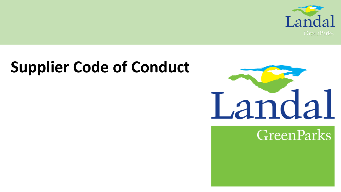

# **Supplier Code of Conduct**



**GreenParks**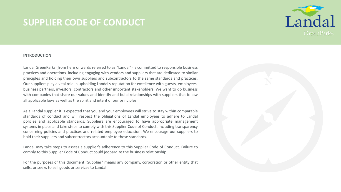

### **INTRODUCTION**

Landal GreenParks (from here onwards referred to as "Landal") is committed to responsible business practices and operations, including engaging with vendors and suppliers that are dedicated to similar principles and holding their own suppliers and subcontractors to the same standards and practices. Our suppliers play a vital role in upholding Landal's reputation for excellence with guests, employees, business partners, investors, contractors and other important stakeholders. We want to do business with companies that share our values and identify and build relationships with suppliers that follow all applicable laws as well as the spirit and intent of our principles.

As a Landal supplier it is expected that you and your employees will strive to stay within comparable standards of conduct and will respect the obligations of Landal employees to adhere to Landal policies and applicable standards. Suppliers are encouraged to have appropriate management systems in place and take steps to comply with this Supplier Code of Conduct, including transparency concerning policies and practices and related employee education. We encourage our suppliers to hold their suppliers and subcontractors accountable to these standards.

Landal may take steps to assess a supplier's adherence to this Supplier Code of Conduct. Failure to comply to this Supplier Code of Conduct could jeopardize the business relationship.

For the purposes of this document "Supplier" means any company, corporation or other entity that sells, or seeks to sell goods or services to Landal.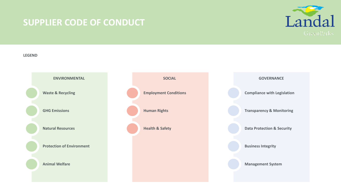

### **LEGEND**

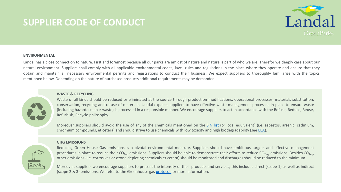

### **ENVIRONMENTAL**

Landal has a close connection to nature. First and foremost because all our parks are amidst of nature and nature is part of who we are. Therefor we deeply care about our natural environment. Suppliers shall comply with all applicable environmental codes, laws, rules and regulations in the place where they operate and ensure that they obtain and maintain all necessary environmental permits and registrations to conduct their business. We expect suppliers to thoroughly familiarize with the topics mentioned below. Depending on the nature of purchased products additional requirements may be demanded.



### **WASTE & RECYCLING**

Waste of all kinds should be reduced or eliminated at the source through production modifications, operational processes, materials substitution, conservation, recycling and re-use of materials. Landal expects suppliers to have effective waste management processes in place to ensure waste (including hazardous an e-waste) is processed in a responsible manner. We encourage suppliers to act in accordance with the Refuse, Reduce, Reuse, Refurbish, Recycle philosophy.

Moreover suppliers should avoid the use of any of the chemicals mentioned on the [SIN](https://chemsec.org/) list (or local equivalent) (i.e. asbestos, arsenic, cadmium, chromium compounds, et cetera) and should strive to use chemicals with low toxicity and high biodegradability (see [EEA\)](https://www.eea.europa.eu/).

### **GHG EMISSIONS**

Reducing Green House Gas emissions is a pivotal environmental measure. Suppliers should have ambitious targets and effective management procedures in place to reduce their CO<sub>2eq</sub> emissions. Suppliers should be able to demonstrate their efforts to reduce CO<sub>2eq</sub> emissions. Besides CO<sub>2eq</sub>, other emissions (i.e. corrosives or ozone depleting chemicals et cetera) should be monitored and discharges should be reduced to the minimum.

Moreover, suppliers we encourage suppliers to present the intensity of their products and services, this includes direct (scope 1) as well as indirect (scope 2 & 3) emissions. We refer to the Greenhouse gas [protocol](https://ghgprotocol.org/) for more information.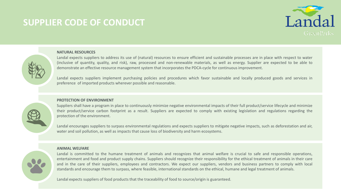



### **NATURAL RESOURCES**

Landal expects suppliers to address its use of (natural) resources to ensure efficient and sustainable processes are in place with respect to water (inclusive of quantity, quality, and risk), raw, processed and non-renewable materials, as well as energy. Supplier are expected to be able to demonstrate an effective resource management system that incorporates the PDCA-cycle for continuous improvement.

Landal expects suppliers implement purchasing policies and procedures which favor sustainable and locally produced goods and services in preference of imported products wherever possible and reasonable.

### **PROTECTION OF ENVIRONMENT**

Suppliers shall have a program in place to continuously minimize negative environmental impacts of their full product/service lifecycle and minimize their product/service carbon footprint as a result. Suppliers are expected to comply with existing legislation and regulations regarding the protection of the environment.

Landal encourages suppliers to surpass environmental regulations and expects suppliers to mitigate negative impacts, such as deforestation and air, water and soil pollution, as well as impacts that cause loss of biodiversity and harm ecosystems.

### **ANIMAL WELFARE**

Landal is committed to the humane treatment of animals and recognizes that animal welfare is crucial to safe and responsible operations, entertainment and food and product supply chains. Suppliers should recognize their responsibility for the ethical treatment of animals in their care and in the care of their suppliers, employees and contractors. We expect our suppliers, vendors and business partners to comply with local standards and encourage them to surpass, where feasible, international standards on the ethical, humane and legal treatment of animals.

Landal expects suppliers of food products that the traceability of food to source/origin is guaranteed.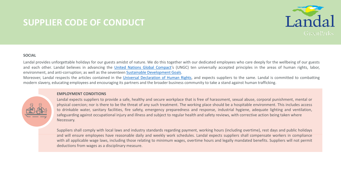

### **SOCIAL**

Landal provides unforgettable holidays for our guests amidst of nature. We do this together with our dedicated employees who care deeply for the wellbeing of our guests and each other. Landal believes in advancing the United Nations Global [Compact](https://www.unglobalcompact.org/)'s (UNGC) ten universally accepted principles in the areas of human rights, labor, environment, and anti-corruption; as well as the seventeen Sustainable [Development](https://www.un.org/sustainabledevelopment/sustainable-development-goals/) Goals.

Moreover, Landal respects the articles contained in the Universal [Declaration](https://www.un.org/en/universal-declaration-human-rights/) of Human Rights, and expects suppliers to the same. Landal is committed to combatting modern slavery, educating employees and encouraging its partners and the broader business community to take a stand against human trafficking.

### **EMPLOYMENT CONDITIONS**

Landal expects suppliers to provide a safe, healthy and secure workplace that is free of harassment, sexual abuse, corporal punishment, mental or physical coercion; nor is there to be the threat of any such treatment. The working place should be a hospitable environment. This includes access to drinkable water, sanitary facilities, fire safety, emergency preparedness and response, industrial hygiene, adequate lighting and ventilation, safeguarding against occupational injury and illness and subject to regular health and safety reviews, with corrective action being taken where Necessary.

Suppliers shall comply with local laws and industry standards regarding payment, working hours (including overtime), rest days and public holidays and will ensure employees have reasonable daily and weekly work schedules. Landal expects suppliers shall compensate workers in compliance with all applicable wage laws, including those relating to minimum wages, overtime hours and legally mandated benefits. Suppliers will not permit deductions from wages as a disciplinary measure.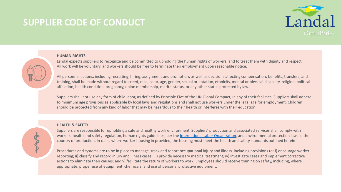



### **HUMAN RIGHTS**

Landal expects suppliers to recognize and be committed to upholding the human rights of workers, and to treat them with dignity and respect. All work will be voluntary, and workers should be free to terminate their employment upon reasonable notice.

All personnel actions, including recruiting, hiring, assignment and promotion, as well as decisions affecting compensation, benefits, transfers, and training, shall be made without regard to creed, race, color, age, gender, sexual orientation, ethnicity, mental or physical disability, religion, political affiliation, health condition, pregnancy, union membership, marital status, or any other status protected by law.

Suppliers shall not use any form of child labor, as defined by Principle Five of the UN Global Compact, in any of their facilities. Suppliers shall adhere to minimum age provisions as applicable by local laws and regulations and shall not use workers under the legal age for employment. Children should be protected from any kind of labor that may be hazardous to their health or interferes with their education.

### **HEALTH & SAFETY**

Suppliers are responsible for upholding a safe and healthy work environment. Suppliers' production and associated services shall comply with workers' health and safety regulation, human rights guidelines, per the [International Labor Organization,](http://www.ilo.org/global/about-the-ilo/lang--en/index.htm) and environmental protection laws in the country of production. In cases where worker housing in provided, the housing must meet the health and safety standards outlined herein.

Procedures and systems are to be in place to manage, track and report occupational injury and illness, including provisions to: i) encourage worker reporting; ii) classify and record injury and illness cases; iii) provide necessary medical treatment; iv) investigate cases and implement corrective actions to eliminate their causes; and v) facilitate the return of workers to work. Employees should receive training on safety, including, where appropriate, proper use of equipment, chemicals, and use of personal protective equipment.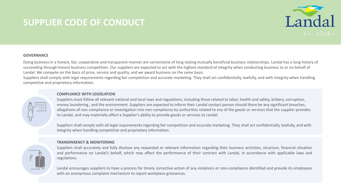

### **GOVERNANCE**

Doing business in a honest, fair, cooperative and transparent manner are cornerstone of long-lasting mutually beneficial business relationships. Landal has a long history of succeeding through honest business competition. Our suppliers are expected to act with the highest standard of integrity when conducting business to or on behalf of Landal. We compete on the basis of price, service and quality, and we award business on the same basis.

Suppliers shall comply with legal requirements regarding fair competition and accurate marketing. They shall act confidentially, lawfully, and with integrity when handling competitive and proprietary information.

### **COMPLIANCE WITH LEGISLATION**

Suppliers must follow all relevant national and local laws and regulations, including those related to labor, health and safety, bribery, corruption, money laundering , and the environment. Suppliers are expected to inform their Landal contact person should there be any significant breaches, allegations of non-compliance or investigation into non-compliance by authorities related to any of the goods or services that the supplier provides to Landal, and may materially affect a Supplier's ability to provide goods or services to Landal.

Suppliers shall comply with all legal requirements regarding fair competition and accurate marketing. They shall act confidentially, lawfully, and with integrity when handling competitive and proprietary information.



### **TRANSPARENCY & MONITORING**

Suppliers shall accurately and fully disclose any requested or relevant information regarding their business activities, structure, financial situation and performance on Landal's behalf, which may affect the performance of their contract with Landal, in accordance with applicable laws and regulations.

Landal encourages suppliers to have a process for timely corrective action of any violations or non-compliance identified and provide its employees with an anonymous complaint mechanism to report workplace grievances.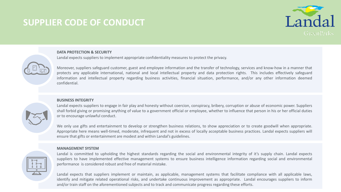

### **DATA PROTECTION & SECURITY**

Landal expects suppliers to implement appropriate confidentiality measures to protect the privacy.



Moreover, suppliers safeguard customer, guest and employee information and the transfer of technology, services and know-how in a manner that protects any applicable international, national and local intellectual property and data protection rights. This includes effectively safeguard information and intellectual property regarding business activities, financial situation, performance, and/or any other information deemed confidential.

### **BUSINESS INTEGRITY**

Landal expects suppliers to engage in fair play and honesty without coercion, conspiracy, bribery, corruption or abuse of economic power. Suppliers shall forbid giving or promising anything of value to a government official or employee, whether to influence that person in his or her official duties or to encourage unlawful conduct.

We only use gifts and entertainment to develop or strengthen business relations, to show appreciation or to create goodwill when appropriate. Appropriate here means well-timed, moderate, infrequent and not in excess of locally acceptable business practices. Landal expects suppliers will ensure that gifts or entertainment are modest and within Landal's guidelines.

### **MANAGEMENT SYSTEM**

Landal is committed to upholding the highest standards regarding the social and environmental integrity of it's supply chain. Landal expects suppliers to have implemented effective management systems to ensure business intelligence information regarding social and environmental performance is considered robust and free of material mistake.

Landal expects that suppliers implement or maintain, as applicable, management systems that facilitate compliance with all applicable laws, identify and mitigate related operational risks, and undertake continuous improvement as appropriate. Landal encourages suppliers to inform and/or train staff on the aforementioned subjects and to track and communicate progress regarding these efforts.